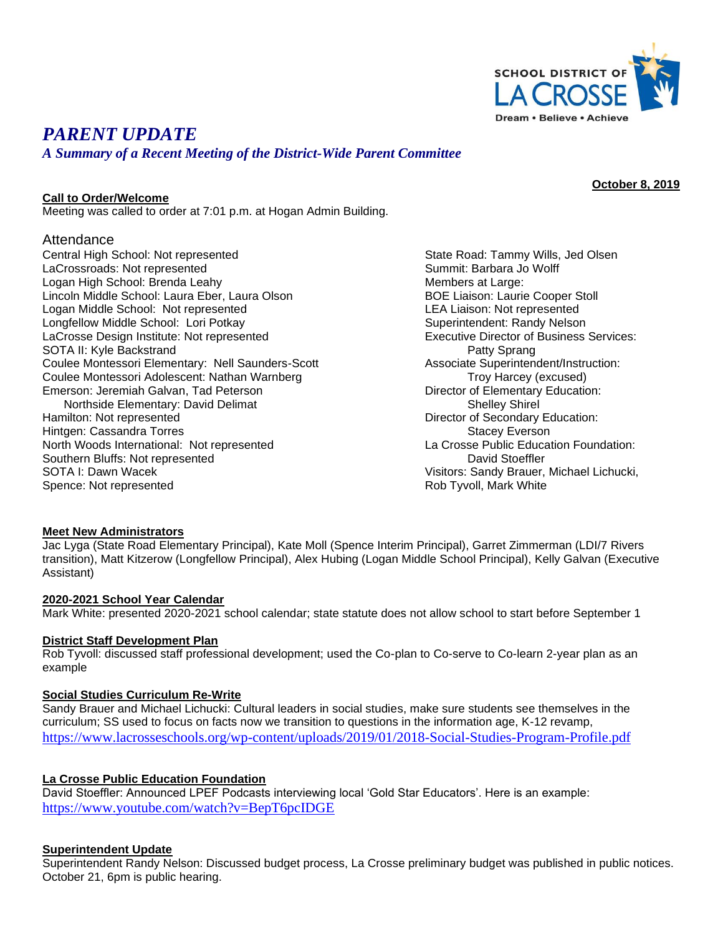

# *PARENT UPDATE*

# *A Summary of a Recent Meeting of the District-Wide Parent Committee*

**October 8, 2019**

#### **Call to Order/Welcome**

Meeting was called to order at 7:01 p.m. at Hogan Admin Building.

### Attendance

Central High School: Not represented State Road: Tammy Wills, Jed Olsen LaCrossroads: Not represented and Summit: Barbara Jo Wolff Logan High School: Brenda Leahy Members at Large: Members at Large: Lincoln Middle School: Laura Eber, Laura Olson BOE Liaison: Laurie Cooper Stoll Logan Middle School: Not represented LEA Liaison: Not represented Longfellow Middle School: Lori Potkay Superintendent: Randy Nelson LaCrosse Design Institute: Not represented Executive Director of Business Services: SOTA II: Kyle Backstrand<br>Coulee Montessori Elementary: Nell Saunders-Scott **Patty Sprang** Patty Sprang Patty Sprang Coulee Montessori Elementary: Nell Saunders-Scott Coulee Montessori Adolescent: Nathan Warnberg Troy Harcey (excused) Emerson: Jeremiah Galvan, Tad Peterson **Director of Elementary Education:** Northside Elementary: David Delimat Shelley Shirel Shelley Shirel Hamilton: Not represented Director of Secondary Education: Hintgen: Cassandra Torres Stacey Everson Stacey Everson

North Woods International: Not represented La Crosse Public Education Foundation: Southern Bluffs: Not represented **David Stoeffler** David Stoeffler Spence: Not represented **Rob Tyvoll, Mark White** 

SOTA I: Dawn Wacek Visitors: Sandy Brauer, Michael Lichucki,

#### **Meet New Administrators**

Jac Lyga (State Road Elementary Principal), Kate Moll (Spence Interim Principal), Garret Zimmerman (LDI/7 Rivers transition), Matt Kitzerow (Longfellow Principal), Alex Hubing (Logan Middle School Principal), Kelly Galvan (Executive Assistant)

#### **2020-2021 School Year Calendar**

Mark White: presented 2020-2021 school calendar; state statute does not allow school to start before September 1

#### **District Staff Development Plan**

Rob Tyvoll: discussed staff professional development; used the Co-plan to Co-serve to Co-learn 2-year plan as an example

#### **Social Studies Curriculum Re-Write**

Sandy Brauer and Michael Lichucki: Cultural leaders in social studies, make sure students see themselves in the curriculum; SS used to focus on facts now we transition to questions in the information age, K-12 revamp, <https://www.lacrosseschools.org/wp-content/uploads/2019/01/2018-Social-Studies-Program-Profile.pdf>

#### **La Crosse Public Education Foundation**

David Stoeffler: Announced LPEF Podcasts interviewing local 'Gold Star Educators'. Here is an example: <https://www.youtube.com/watch?v=BepT6pcIDGE>

#### **Superintendent Update**

Superintendent Randy Nelson: Discussed budget process, La Crosse preliminary budget was published in public notices. October 21, 6pm is public hearing.